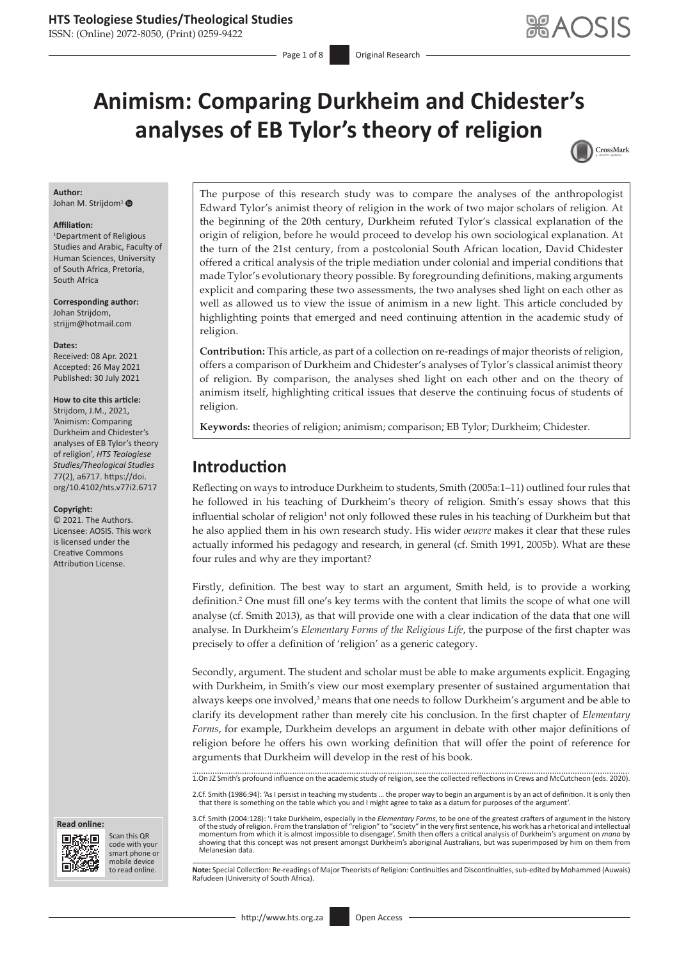ISSN: (Online) 2072-8050, (Print) 0259-9422

# **Animism: Comparing Durkheim and Chidester's analyses of EB Tylor's theory of religion**



#### **Author:**

Johan M. Strijdom<sup>[1](https://orcid.org/0000-0002-0541-6385)</sup>

#### **Affiliation:**

1 Department of Religious Studies and Arabic, Faculty of Human Sciences, University of South Africa, Pretoria, South Africa

**Corresponding author:** Johan Strijdom, [strijjm@hotmail.com](mailto:strijjm@hotmail.com)

#### **Dates:**

Received: 08 Apr. 2021 Accepted: 26 May 2021 Published: 30 July 2021

#### **How to cite this article:**

Strijdom, J.M., 2021, 'Animism: Comparing Durkheim and Chidester's analyses of EB Tylor's theory of religion', *HTS Teologiese Studies/Theological Studies* 77(2), a6717. [https://doi.](https://doi.org/10.4102/hts.v77i2.6717) [org/10.4102/hts.v77i2.6717](https://doi.org/10.4102/hts.v77i2.6717)

#### **Copyright:**

© 2021. The Authors. Licensee: AOSIS. This work is licensed under the Creative Commons Attribution License.

**Read online: Read online:**



Scan this QR code with your Scan this QR<br>code with your<br>smart phone or<br>mobile device mobile device to read online.

The purpose of this research study was to compare the analyses of the anthropologist Edward Tylor's animist theory of religion in the work of two major scholars of religion. At the beginning of the 20th century, Durkheim refuted Tylor's classical explanation of the origin of religion, before he would proceed to develop his own sociological explanation. At the turn of the 21st century, from a postcolonial South African location, David Chidester offered a critical analysis of the triple mediation under colonial and imperial conditions that made Tylor's evolutionary theory possible. By foregrounding definitions, making arguments explicit and comparing these two assessments, the two analyses shed light on each other as well as allowed us to view the issue of animism in a new light. This article concluded by highlighting points that emerged and need continuing attention in the academic study of religion.

**Contribution:** This article, as part of a collection on re-readings of major theorists of religion, offers a comparison of Durkheim and Chidester's analyses of Tylor's classical animist theory of religion. By comparison, the analyses shed light on each other and on the theory of animism itself, highlighting critical issues that deserve the continuing focus of students of religion.

**Keywords:** theories of religion; animism; comparison; EB Tylor; Durkheim; Chidester.

# **Introduction**

Reflecting on ways to introduce Durkheim to students, Smith (2005a:1–11) outlined four rules that he followed in his teaching of Durkheim's theory of religion. Smith's essay shows that this influential scholar of religion<sup>1</sup> not only followed these rules in his teaching of Durkheim but that he also applied them in his own research study. His wider *oeuvre* makes it clear that these rules actually informed his pedagogy and research, in general (cf. Smith 1991, 2005b). What are these four rules and why are they important?

Firstly, definition. The best way to start an argument, Smith held, is to provide a working definition.2 One must fill one's key terms with the content that limits the scope of what one will analyse (cf. Smith 2013), as that will provide one with a clear indication of the data that one will analyse. In Durkheim's *Elementary Forms of the Religious Life*, the purpose of the first chapter was precisely to offer a definition of 'religion' as a generic category.

Secondly, argument. The student and scholar must be able to make arguments explicit. Engaging with Durkheim, in Smith's view our most exemplary presenter of sustained argumentation that always keeps one involved, $3$  means that one needs to follow Durkheim's argument and be able to clarify its development rather than merely cite his conclusion. In the first chapter of *Elementary Forms*, for example, Durkheim develops an argument in debate with other major definitions of religion before he offers his own working definition that will offer the point of reference for arguments that Durkheim will develop in the rest of his book.

1.On JZ Smith's profound influence on the academic study of religion, see the collected reflections in Crews and McCutcheon (eds. 2020).

2.Cf. Smith (1986:94): 'As I persist in teaching my students … the proper way to begin an argument is by an act of definition. It is only then that there is something on the table which you and I might agree to take as a datum for purposes of the argument'.

3.Cf. Smith (2004:128): 'I take Durkheim, especially in the *Elementary Forms*, to be one of the greatest crafters of argument in the history of the study of religion. From the translation of "religion" to "society" in the very first sentence, his work has a rhetorical and intellectual<br>momentum from which it is almost impossible to disengage'. Smith then offers showing that this concept was not present amongst Durkheim's aboriginal Australians, but was superimposed by him on them from Melanesian data.

Note: Special Collection: Re-readings of Major Theorists of Religion: Continuities and Discontinuities, sub-edited by Mohammed (Auwais) Rafudeen (University of South Africa).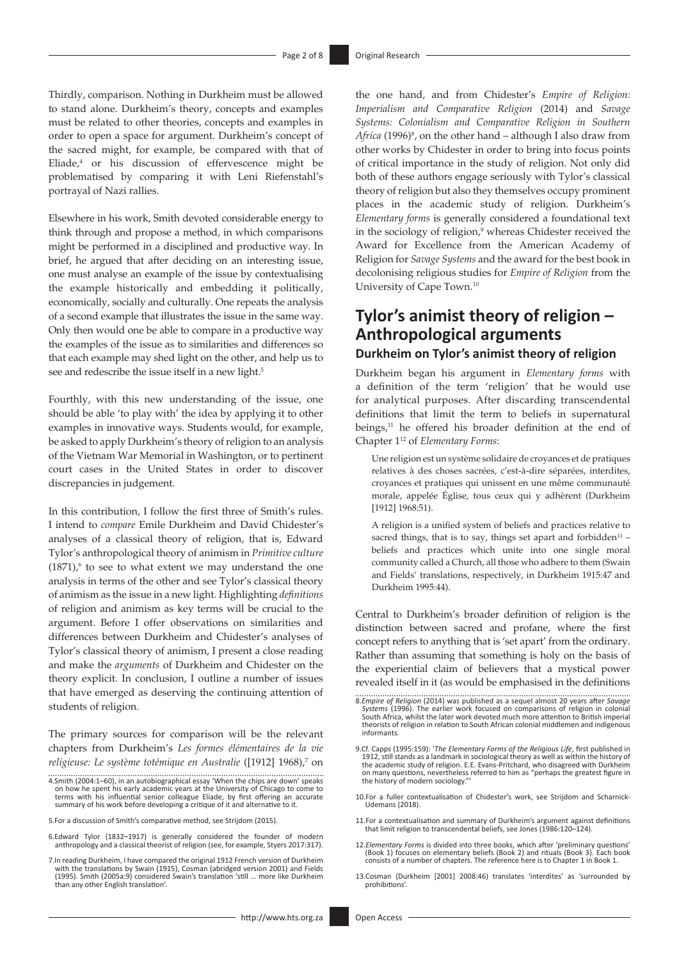Thirdly, comparison. Nothing in Durkheim must be allowed to stand alone. Durkheim's theory, concepts and examples must be related to other theories, concepts and examples in order to open a space for argument. Durkheim's concept of the sacred might, for example, be compared with that of Eliade,<sup>4</sup> or his discussion of effervescence might be problematised by comparing it with Leni Riefenstahl's portrayal of Nazi rallies.

Elsewhere in his work, Smith devoted considerable energy to think through and propose a method, in which comparisons might be performed in a disciplined and productive way. In brief, he argued that after deciding on an interesting issue, one must analyse an example of the issue by contextualising the example historically and embedding it politically, economically, socially and culturally. One repeats the analysis of a second example that illustrates the issue in the same way. Only then would one be able to compare in a productive way the examples of the issue as to similarities and differences so that each example may shed light on the other, and help us to see and redescribe the issue itself in a new light.<sup>5</sup>

Fourthly, with this new understanding of the issue, one should be able 'to play with' the idea by applying it to other examples in innovative ways. Students would, for example, be asked to apply Durkheim's theory of religion to an analysis of the Vietnam War Memorial in Washington, or to pertinent court cases in the United States in order to discover discrepancies in judgement.

In this contribution, I follow the first three of Smith's rules. I intend to *compare* Emile Durkheim and David Chidester's analyses of a classical theory of religion, that is, Edward Tylor's anthropological theory of animism in *Primitive culture*  $(1871)$ <sup>6</sup> to see to what extent we may understand the one analysis in terms of the other and see Tylor's classical theory of animism as the issue in a new light. Highlighting *definitions*  of religion and animism as key terms will be crucial to the argument. Before I offer observations on similarities and differences between Durkheim and Chidester's analyses of Tylor's classical theory of animism, I present a close reading and make the *arguments* of Durkheim and Chidester on the theory explicit. In conclusion, I outline a number of issues that have emerged as deserving the continuing attention of students of religion.

The primary sources for comparison will be the relevant chapters from Durkheim's *Les formes élémentaires de la vie religieuse: Le système totémique en Australie* ([1912] 1968),7 on the one hand, and from Chidester's *Empire of Religion: Imperialism and Comparative Religion* (2014) and *Savage Systems: Colonialism and Comparative Religion in Southern*  Africa (1996)<sup>8</sup>, on the other hand – although I also draw from other works by Chidester in order to bring into focus points of critical importance in the study of religion. Not only did both of these authors engage seriously with Tylor's classical theory of religion but also they themselves occupy prominent places in the academic study of religion. Durkheim's *Elementary forms* is generally considered a foundational text in the sociology of religion,<sup>9</sup> whereas Chidester received the Award for Excellence from the American Academy of Religion for *Savage Systems* and the award for the best book in decolonising religious studies for *Empire of Religion* from the University of Cape Town.10

# **Tylor's animist theory of religion – Anthropological arguments**

#### **Durkheim on Tylor's animist theory of religion**

Durkheim began his argument in *Elementary forms* with a definition of the term 'religion' that he would use for analytical purposes. After discarding transcendental definitions that limit the term to beliefs in supernatural beings,<sup>11</sup> he offered his broader definition at the end of Chapter 112 of *Elementary Forms*:

Une religion est un système solidaire de croyances et de pratiques relatives à des choses sacrées, c'est-à-dire séparées, interdites, croyances et pratiques qui unissent en une même communauté morale, appelée Église, tous ceux qui y adhèrent (Durkheim [1912] 1968:51).

A religion is a unified system of beliefs and practices relative to sacred things, that is to say, things set apart and forbidden $13$  beliefs and practices which unite into one single moral community called a Church, all those who adhere to them (Swain and Fields' translations, respectively, in Durkheim 1915:47 and Durkheim 1995:44).

Central to Durkheim's broader definition of religion is the distinction between sacred and profane, where the first concept refers to anything that is 'set apart' from the ordinary. Rather than assuming that something is holy on the basis of the experiential claim of believers that a mystical power revealed itself in it (as would be emphasised in the definitions

- 10.For a fuller contextualisation of Chidester's work, see Strijdom and Scharnick-Udemans (2018).
- 11.For a contextualisation and summary of Durkheim's argument against definitions that limit religion to transcendental beliefs, see Jones (1986:120–124).
- 12.*Elementary Forms* is divided into three books, which after 'preliminary questions' (Book 1) focuses on elementary beliefs (Book 2) and rituals (Book 3). Each book consists of a number of chapters. The reference here is to Chapter 1 in Book 1.
- 13.Cosman (Durkheim [2001] 2008:46) translates 'interdites' as 'surrounded by prohibitions'.

<sup>4.</sup>Smith (2004:1–60), in an autobiographical essay 'When the chips are down' speaks on how he spent his early academic years at the University of Chicago to come to terms with his influential senior colleague Eliade, by first offering an accurate summary of his work before developing a critique of it and alternative to it.

<sup>5.</sup>For a discussion of Smith's comparative method, see Strijdom (2015).

<sup>6.</sup>Edward Tylor (1832–1917) is generally considered the founder of modern anthropology and a classical theorist of religion (see, for example, Styers 2017:317).

<sup>7.</sup>In reading Durkheim, I have compared the original 1912 French version of Durkheim<br>with the translations by Swain (1915), Cosman (abridged version 2001) and Fields<br>(1995). Smith (2005a:9) considered Swain's translation 's than any other English translation'.

<sup>8.</sup>*Empire of Religion* (2014) was published as a sequel almost 20 years after *Savage Systems* (1996). The earlier work focused on comparisons of religion in colonial South Africa, whilst the later work devoted much more attention to British imperial theorists of religion in relation to South African colonial middlemen and indigenous informants.

<sup>9.</sup>Cf. Capps (1995:159): '*The Elementary Forms of the Religious Life*, first published in 1912, still stands as a landmark in sociological theory as well as within the history of the academic study of religion. E.E. Evans-Pritchard, who disagreed with Durkheim on many questions, nevertheless referred to him as "perhaps the greatest figure in the history of modern sociology."'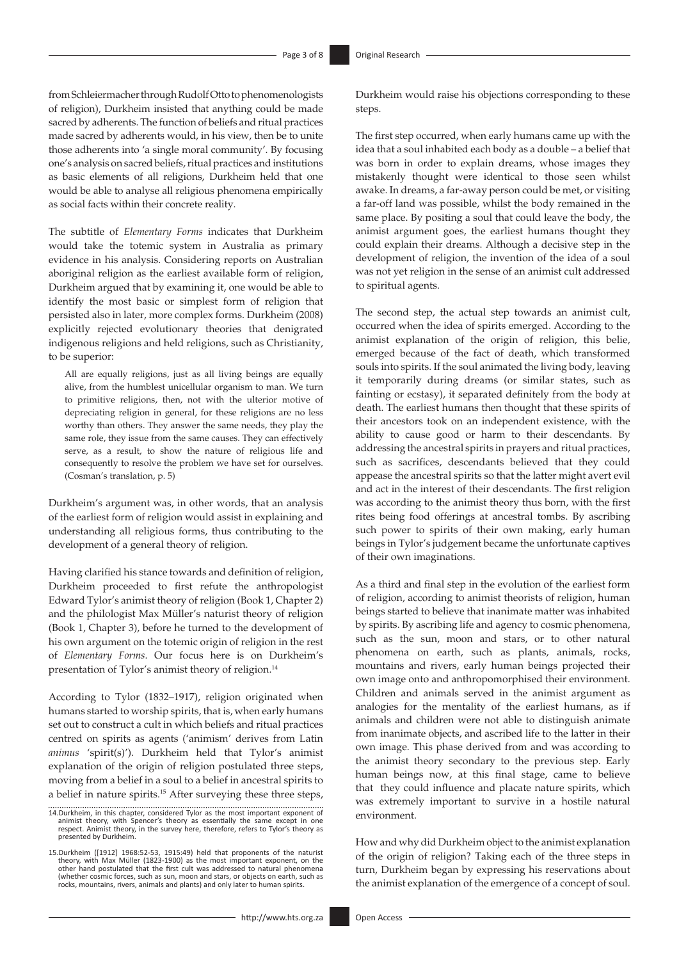from Schleiermacher through Rudolf Otto to phenomenologists of religion), Durkheim insisted that anything could be made sacred by adherents. The function of beliefs and ritual practices made sacred by adherents would, in his view, then be to unite those adherents into 'a single moral community'. By focusing one's analysis on sacred beliefs, ritual practices and institutions as basic elements of all religions, Durkheim held that one would be able to analyse all religious phenomena empirically as social facts within their concrete reality.

The subtitle of *Elementary Forms* indicates that Durkheim would take the totemic system in Australia as primary evidence in his analysis. Considering reports on Australian aboriginal religion as the earliest available form of religion, Durkheim argued that by examining it, one would be able to identify the most basic or simplest form of religion that persisted also in later, more complex forms. Durkheim (2008) explicitly rejected evolutionary theories that denigrated indigenous religions and held religions, such as Christianity, to be superior:

All are equally religions, just as all living beings are equally alive, from the humblest unicellular organism to man. We turn to primitive religions, then, not with the ulterior motive of depreciating religion in general, for these religions are no less worthy than others. They answer the same needs, they play the same role, they issue from the same causes. They can effectively serve, as a result, to show the nature of religious life and consequently to resolve the problem we have set for ourselves. (Cosman's translation, p. 5)

Durkheim's argument was, in other words, that an analysis of the earliest form of religion would assist in explaining and understanding all religious forms, thus contributing to the development of a general theory of religion.

Having clarified his stance towards and definition of religion, Durkheim proceeded to first refute the anthropologist Edward Tylor's animist theory of religion (Book 1, Chapter 2) and the philologist Max Müller's naturist theory of religion (Book 1, Chapter 3), before he turned to the development of his own argument on the totemic origin of religion in the rest of *Elementary Forms*. Our focus here is on Durkheim's presentation of Tylor's animist theory of religion.<sup>14</sup>

According to Tylor (1832–1917), religion originated when humans started to worship spirits, that is, when early humans set out to construct a cult in which beliefs and ritual practices centred on spirits as agents ('animism' derives from Latin *animus* 'spirit(s)'). Durkheim held that Tylor's animist explanation of the origin of religion postulated three steps, moving from a belief in a soul to a belief in ancestral spirits to a belief in nature spirits.15 After surveying these three steps,

Durkheim would raise his objections corresponding to these steps.

The first step occurred, when early humans came up with the idea that a soul inhabited each body as a double – a belief that was born in order to explain dreams, whose images they mistakenly thought were identical to those seen whilst awake. In dreams, a far-away person could be met, or visiting a far-off land was possible, whilst the body remained in the same place. By positing a soul that could leave the body, the animist argument goes, the earliest humans thought they could explain their dreams. Although a decisive step in the development of religion, the invention of the idea of a soul was not yet religion in the sense of an animist cult addressed to spiritual agents.

The second step, the actual step towards an animist cult, occurred when the idea of spirits emerged. According to the animist explanation of the origin of religion, this belie, emerged because of the fact of death, which transformed souls into spirits. If the soul animated the living body, leaving it temporarily during dreams (or similar states, such as fainting or ecstasy), it separated definitely from the body at death. The earliest humans then thought that these spirits of their ancestors took on an independent existence, with the ability to cause good or harm to their descendants. By addressing the ancestral spirits in prayers and ritual practices, such as sacrifices, descendants believed that they could appease the ancestral spirits so that the latter might avert evil and act in the interest of their descendants. The first religion was according to the animist theory thus born, with the first rites being food offerings at ancestral tombs. By ascribing such power to spirits of their own making, early human beings in Tylor's judgement became the unfortunate captives of their own imaginations.

As a third and final step in the evolution of the earliest form of religion, according to animist theorists of religion, human beings started to believe that inanimate matter was inhabited by spirits. By ascribing life and agency to cosmic phenomena, such as the sun, moon and stars, or to other natural phenomena on earth, such as plants, animals, rocks, mountains and rivers, early human beings projected their own image onto and anthropomorphised their environment. Children and animals served in the animist argument as analogies for the mentality of the earliest humans, as if animals and children were not able to distinguish animate from inanimate objects, and ascribed life to the latter in their own image. This phase derived from and was according to the animist theory secondary to the previous step. Early human beings now, at this final stage, came to believe that they could influence and placate nature spirits, which was extremely important to survive in a hostile natural environment.

How and why did Durkheim object to the animist explanation of the origin of religion? Taking each of the three steps in turn, Durkheim began by expressing his reservations about the animist explanation of the emergence of a concept of soul.

<sup>14.</sup>Durkheim, in this chapter, considered Tylor as the most important exponent of animist theory, with Spencer's theory as essentially the same except in one respect. Animist theory, in the survey here, therefore, refers to Tylor's theory as presented by Durkheim.

<sup>15.</sup> Durkheim ([1912] 1968:52-53, 1915:49) held that proponents of the naturist<br>theory, with Max Müller (1823-1900) as the most important exponent, on the<br>other hand postulated that the first cult was addressed to natural p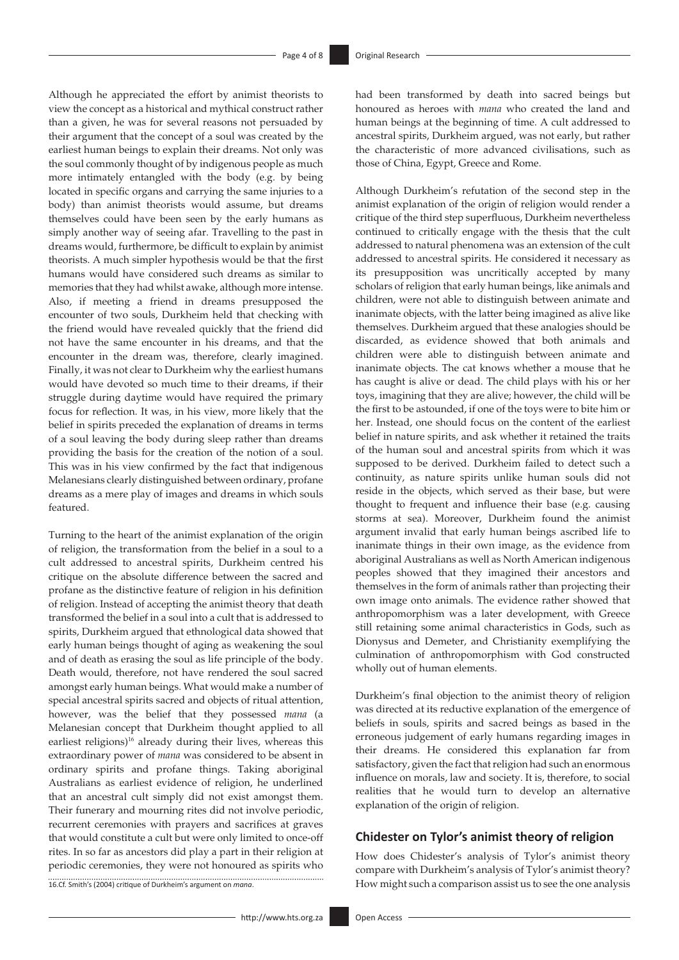Although he appreciated the effort by animist theorists to view the concept as a historical and mythical construct rather than a given, he was for several reasons not persuaded by their argument that the concept of a soul was created by the earliest human beings to explain their dreams. Not only was the soul commonly thought of by indigenous people as much more intimately entangled with the body (e.g. by being located in specific organs and carrying the same injuries to a body) than animist theorists would assume, but dreams themselves could have been seen by the early humans as simply another way of seeing afar. Travelling to the past in dreams would, furthermore, be difficult to explain by animist theorists. A much simpler hypothesis would be that the first humans would have considered such dreams as similar to memories that they had whilst awake, although more intense. Also, if meeting a friend in dreams presupposed the encounter of two souls, Durkheim held that checking with the friend would have revealed quickly that the friend did not have the same encounter in his dreams, and that the encounter in the dream was, therefore, clearly imagined. Finally, it was not clear to Durkheim why the earliest humans would have devoted so much time to their dreams, if their struggle during daytime would have required the primary focus for reflection. It was, in his view, more likely that the belief in spirits preceded the explanation of dreams in terms of a soul leaving the body during sleep rather than dreams providing the basis for the creation of the notion of a soul. This was in his view confirmed by the fact that indigenous Melanesians clearly distinguished between ordinary, profane dreams as a mere play of images and dreams in which souls featured.

Turning to the heart of the animist explanation of the origin of religion, the transformation from the belief in a soul to a cult addressed to ancestral spirits, Durkheim centred his critique on the absolute difference between the sacred and profane as the distinctive feature of religion in his definition of religion. Instead of accepting the animist theory that death transformed the belief in a soul into a cult that is addressed to spirits, Durkheim argued that ethnological data showed that early human beings thought of aging as weakening the soul and of death as erasing the soul as life principle of the body. Death would, therefore, not have rendered the soul sacred amongst early human beings. What would make a number of special ancestral spirits sacred and objects of ritual attention, however, was the belief that they possessed *mana* (a Melanesian concept that Durkheim thought applied to all earliest religions)<sup>16</sup> already during their lives, whereas this extraordinary power of *mana* was considered to be absent in ordinary spirits and profane things. Taking aboriginal Australians as earliest evidence of religion, he underlined that an ancestral cult simply did not exist amongst them. Their funerary and mourning rites did not involve periodic, recurrent ceremonies with prayers and sacrifices at graves that would constitute a cult but were only limited to once-off rites. In so far as ancestors did play a part in their religion at periodic ceremonies, they were not honoured as spirits who 16.Cf. Smith's (2004) critique of Durkheim's argument on *mana*. had been transformed by death into sacred beings but honoured as heroes with *mana* who created the land and human beings at the beginning of time. A cult addressed to ancestral spirits, Durkheim argued, was not early, but rather the characteristic of more advanced civilisations, such as those of China, Egypt, Greece and Rome.

Although Durkheim's refutation of the second step in the animist explanation of the origin of religion would render a critique of the third step superfluous, Durkheim nevertheless continued to critically engage with the thesis that the cult addressed to natural phenomena was an extension of the cult addressed to ancestral spirits. He considered it necessary as its presupposition was uncritically accepted by many scholars of religion that early human beings, like animals and children, were not able to distinguish between animate and inanimate objects, with the latter being imagined as alive like themselves. Durkheim argued that these analogies should be discarded, as evidence showed that both animals and children were able to distinguish between animate and inanimate objects. The cat knows whether a mouse that he has caught is alive or dead. The child plays with his or her toys, imagining that they are alive; however, the child will be the first to be astounded, if one of the toys were to bite him or her. Instead, one should focus on the content of the earliest belief in nature spirits, and ask whether it retained the traits of the human soul and ancestral spirits from which it was supposed to be derived. Durkheim failed to detect such a continuity, as nature spirits unlike human souls did not reside in the objects, which served as their base, but were thought to frequent and influence their base (e.g. causing storms at sea). Moreover, Durkheim found the animist argument invalid that early human beings ascribed life to inanimate things in their own image, as the evidence from aboriginal Australians as well as North American indigenous peoples showed that they imagined their ancestors and themselves in the form of animals rather than projecting their own image onto animals. The evidence rather showed that anthropomorphism was a later development, with Greece still retaining some animal characteristics in Gods, such as Dionysus and Demeter, and Christianity exemplifying the culmination of anthropomorphism with God constructed wholly out of human elements.

Durkheim's final objection to the animist theory of religion was directed at its reductive explanation of the emergence of beliefs in souls, spirits and sacred beings as based in the erroneous judgement of early humans regarding images in their dreams. He considered this explanation far from satisfactory, given the fact that religion had such an enormous influence on morals, law and society. It is, therefore, to social realities that he would turn to develop an alternative explanation of the origin of religion.

#### **Chidester on Tylor's animist theory of religion**

How does Chidester's analysis of Tylor's animist theory compare with Durkheim's analysis of Tylor's animist theory? How might such a comparison assist us to see the one analysis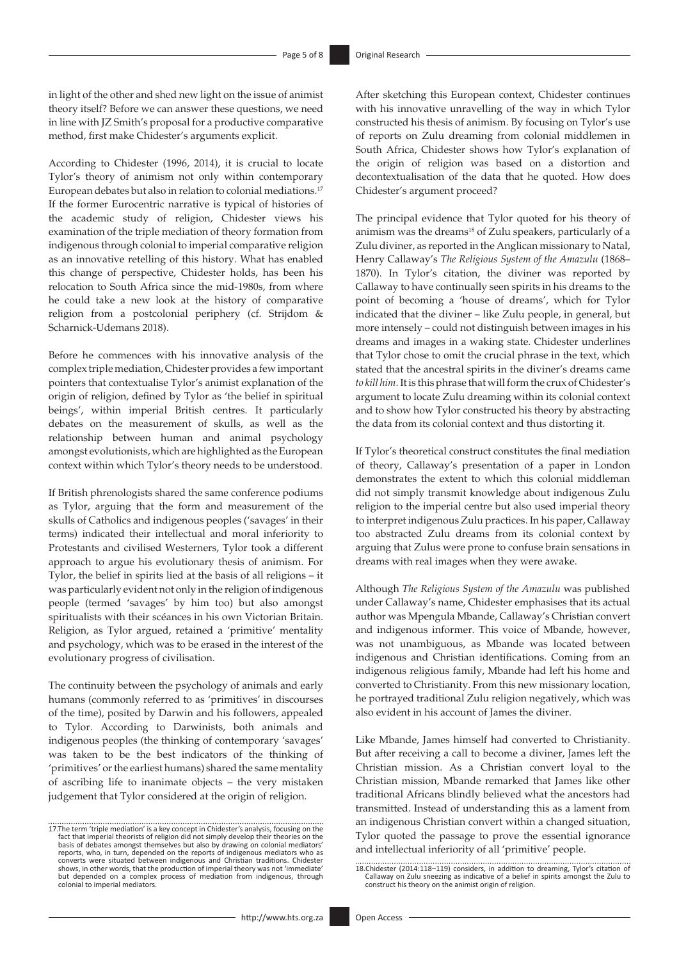in light of the other and shed new light on the issue of animist theory itself? Before we can answer these questions, we need in line with JZ Smith's proposal for a productive comparative method, first make Chidester's arguments explicit.

According to Chidester (1996, 2014), it is crucial to locate Tylor's theory of animism not only within contemporary European debates but also in relation to colonial mediations.17 If the former Eurocentric narrative is typical of histories of the academic study of religion, Chidester views his examination of the triple mediation of theory formation from indigenous through colonial to imperial comparative religion as an innovative retelling of this history. What has enabled this change of perspective, Chidester holds, has been his relocation to South Africa since the mid-1980s, from where he could take a new look at the history of comparative religion from a postcolonial periphery (cf. Strijdom & Scharnick-Udemans 2018).

Before he commences with his innovative analysis of the complex triple mediation, Chidester provides a few important pointers that contextualise Tylor's animist explanation of the origin of religion, defined by Tylor as 'the belief in spiritual beings', within imperial British centres. It particularly debates on the measurement of skulls, as well as the relationship between human and animal psychology amongst evolutionists, which are highlighted as the European context within which Tylor's theory needs to be understood.

If British phrenologists shared the same conference podiums as Tylor, arguing that the form and measurement of the skulls of Catholics and indigenous peoples ('savages' in their terms) indicated their intellectual and moral inferiority to Protestants and civilised Westerners, Tylor took a different approach to argue his evolutionary thesis of animism. For Tylor, the belief in spirits lied at the basis of all religions – it was particularly evident not only in the religion of indigenous people (termed 'savages' by him too) but also amongst spiritualists with their scéances in his own Victorian Britain. Religion, as Tylor argued, retained a 'primitive' mentality and psychology, which was to be erased in the interest of the evolutionary progress of civilisation.

The continuity between the psychology of animals and early humans (commonly referred to as 'primitives' in discourses of the time), posited by Darwin and his followers, appealed to Tylor. According to Darwinists, both animals and indigenous peoples (the thinking of contemporary 'savages' was taken to be the best indicators of the thinking of 'primitives' or the earliest humans) shared the same mentality of ascribing life to inanimate objects – the very mistaken judgement that Tylor considered at the origin of religion.

After sketching this European context, Chidester continues with his innovative unravelling of the way in which Tylor constructed his thesis of animism. By focusing on Tylor's use of reports on Zulu dreaming from colonial middlemen in South Africa, Chidester shows how Tylor's explanation of the origin of religion was based on a distortion and decontextualisation of the data that he quoted. How does Chidester's argument proceed?

The principal evidence that Tylor quoted for his theory of animism was the dreams18 of Zulu speakers, particularly of a Zulu diviner, as reported in the Anglican missionary to Natal, Henry Callaway's *The Religious System of the Amazulu* (1868– 1870). In Tylor's citation, the diviner was reported by Callaway to have continually seen spirits in his dreams to the point of becoming a 'house of dreams', which for Tylor indicated that the diviner – like Zulu people, in general, but more intensely – could not distinguish between images in his dreams and images in a waking state. Chidester underlines that Tylor chose to omit the crucial phrase in the text, which stated that the ancestral spirits in the diviner's dreams came *to kill him*. It is this phrase that will form the crux of Chidester's argument to locate Zulu dreaming within its colonial context and to show how Tylor constructed his theory by abstracting the data from its colonial context and thus distorting it.

If Tylor's theoretical construct constitutes the final mediation of theory, Callaway's presentation of a paper in London demonstrates the extent to which this colonial middleman did not simply transmit knowledge about indigenous Zulu religion to the imperial centre but also used imperial theory to interpret indigenous Zulu practices. In his paper, Callaway too abstracted Zulu dreams from its colonial context by arguing that Zulus were prone to confuse brain sensations in dreams with real images when they were awake.

Although *The Religious System of the Amazulu* was published under Callaway's name, Chidester emphasises that its actual author was Mpengula Mbande, Callaway's Christian convert and indigenous informer. This voice of Mbande, however, was not unambiguous, as Mbande was located between indigenous and Christian identifications. Coming from an indigenous religious family, Mbande had left his home and converted to Christianity. From this new missionary location, he portrayed traditional Zulu religion negatively, which was also evident in his account of James the diviner.

Like Mbande, James himself had converted to Christianity. But after receiving a call to become a diviner, James left the Christian mission. As a Christian convert loyal to the Christian mission, Mbande remarked that James like other traditional Africans blindly believed what the ancestors had transmitted. Instead of understanding this as a lament from an indigenous Christian convert within a changed situation, Tylor quoted the passage to prove the essential ignorance and intellectual inferiority of all 'primitive' people.

<sup>17.</sup>The term 'triple mediation' is a key concept in Chidester's analysis, focusing on the fact that imperial theorists of religion did not simply develop their theories on the basis of debates amongst themselves but also by drawing on colonial mediators' reports, who, in turn, depended on the reports of indigenous mediators who as converts were situated between indigenous and Christian traditions. Chidester shows, in other words, that the production of imperial theory was not 'immediate' but depended on a complex process of mediation from indigenous, through colonial to imperial mediators.

<sup>18.</sup>Chidester (2014:118–119) considers, in addition to dreaming, Tylor's citation of Callaway on Zulu sneezing as indicative of a belief in spirits amongst the Zulu to construct his theory on the animist origin of religion.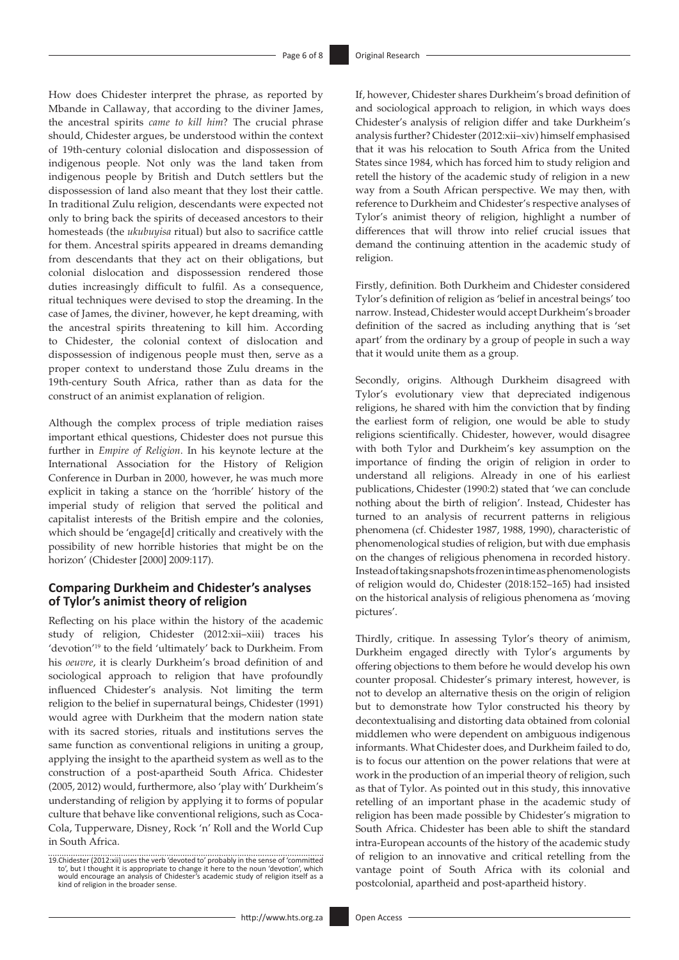How does Chidester interpret the phrase, as reported by Mbande in Callaway, that according to the diviner James, the ancestral spirits *came to kill him*? The crucial phrase should, Chidester argues, be understood within the context of 19th-century colonial dislocation and dispossession of indigenous people. Not only was the land taken from indigenous people by British and Dutch settlers but the dispossession of land also meant that they lost their cattle. In traditional Zulu religion, descendants were expected not only to bring back the spirits of deceased ancestors to their homesteads (the *ukubuyisa* ritual) but also to sacrifice cattle for them. Ancestral spirits appeared in dreams demanding from descendants that they act on their obligations, but colonial dislocation and dispossession rendered those duties increasingly difficult to fulfil. As a consequence, ritual techniques were devised to stop the dreaming. In the case of James, the diviner, however, he kept dreaming, with the ancestral spirits threatening to kill him. According to Chidester, the colonial context of dislocation and dispossession of indigenous people must then, serve as a proper context to understand those Zulu dreams in the 19th-century South Africa, rather than as data for the construct of an animist explanation of religion.

Although the complex process of triple mediation raises important ethical questions, Chidester does not pursue this further in *Empire of Religion*. In his keynote lecture at the International Association for the History of Religion Conference in Durban in 2000, however, he was much more explicit in taking a stance on the 'horrible' history of the imperial study of religion that served the political and capitalist interests of the British empire and the colonies, which should be 'engage[d] critically and creatively with the possibility of new horrible histories that might be on the horizon' (Chidester [2000] 2009:117).

#### **Comparing Durkheim and Chidester's analyses of Tylor's animist theory of religion**

Reflecting on his place within the history of the academic study of religion, Chidester (2012:xii–xiii) traces his 'devotion'19 to the field 'ultimately' back to Durkheim. From his *oeuvre*, it is clearly Durkheim's broad definition of and sociological approach to religion that have profoundly influenced Chidester's analysis. Not limiting the term religion to the belief in supernatural beings, Chidester (1991) would agree with Durkheim that the modern nation state with its sacred stories, rituals and institutions serves the same function as conventional religions in uniting a group, applying the insight to the apartheid system as well as to the construction of a post-apartheid South Africa. Chidester (2005, 2012) would, furthermore, also 'play with' Durkheim's understanding of religion by applying it to forms of popular culture that behave like conventional religions, such as Coca-Cola, Tupperware, Disney, Rock 'n' Roll and the World Cup in South Africa.

If, however, Chidester shares Durkheim's broad definition of and sociological approach to religion, in which ways does Chidester's analysis of religion differ and take Durkheim's analysis further? Chidester (2012:xii–xiv) himself emphasised that it was his relocation to South Africa from the United States since 1984, which has forced him to study religion and retell the history of the academic study of religion in a new way from a South African perspective. We may then, with reference to Durkheim and Chidester's respective analyses of Tylor's animist theory of religion, highlight a number of differences that will throw into relief crucial issues that demand the continuing attention in the academic study of religion.

Firstly, definition. Both Durkheim and Chidester considered Tylor's definition of religion as 'belief in ancestral beings' too narrow. Instead, Chidester would accept Durkheim's broader definition of the sacred as including anything that is 'set apart' from the ordinary by a group of people in such a way that it would unite them as a group.

Secondly, origins. Although Durkheim disagreed with Tylor's evolutionary view that depreciated indigenous religions, he shared with him the conviction that by finding the earliest form of religion, one would be able to study religions scientifically. Chidester, however, would disagree with both Tylor and Durkheim's key assumption on the importance of finding the origin of religion in order to understand all religions. Already in one of his earliest publications, Chidester (1990:2) stated that 'we can conclude nothing about the birth of religion'. Instead, Chidester has turned to an analysis of recurrent patterns in religious phenomena (cf. Chidester 1987, 1988, 1990), characteristic of phenomenological studies of religion, but with due emphasis on the changes of religious phenomena in recorded history. Instead of taking snapshots frozen in time as phenomenologists of religion would do, Chidester (2018:152–165) had insisted on the historical analysis of religious phenomena as 'moving pictures'.

Thirdly, critique. In assessing Tylor's theory of animism, Durkheim engaged directly with Tylor's arguments by offering objections to them before he would develop his own counter proposal. Chidester's primary interest, however, is not to develop an alternative thesis on the origin of religion but to demonstrate how Tylor constructed his theory by decontextualising and distorting data obtained from colonial middlemen who were dependent on ambiguous indigenous informants. What Chidester does, and Durkheim failed to do, is to focus our attention on the power relations that were at work in the production of an imperial theory of religion, such as that of Tylor. As pointed out in this study, this innovative retelling of an important phase in the academic study of religion has been made possible by Chidester's migration to South Africa. Chidester has been able to shift the standard intra-European accounts of the history of the academic study of religion to an innovative and critical retelling from the vantage point of South Africa with its colonial and postcolonial, apartheid and post-apartheid history.

<sup>19.</sup>Chidester (2012:xii) uses the verb 'devoted to' probably in the sense of 'committed to', but I thought it is appropriate to change it here to the noun 'devotion', which would encourage an analysis of Chidester's academic study of religion itself as a kind of religion in the broader sense.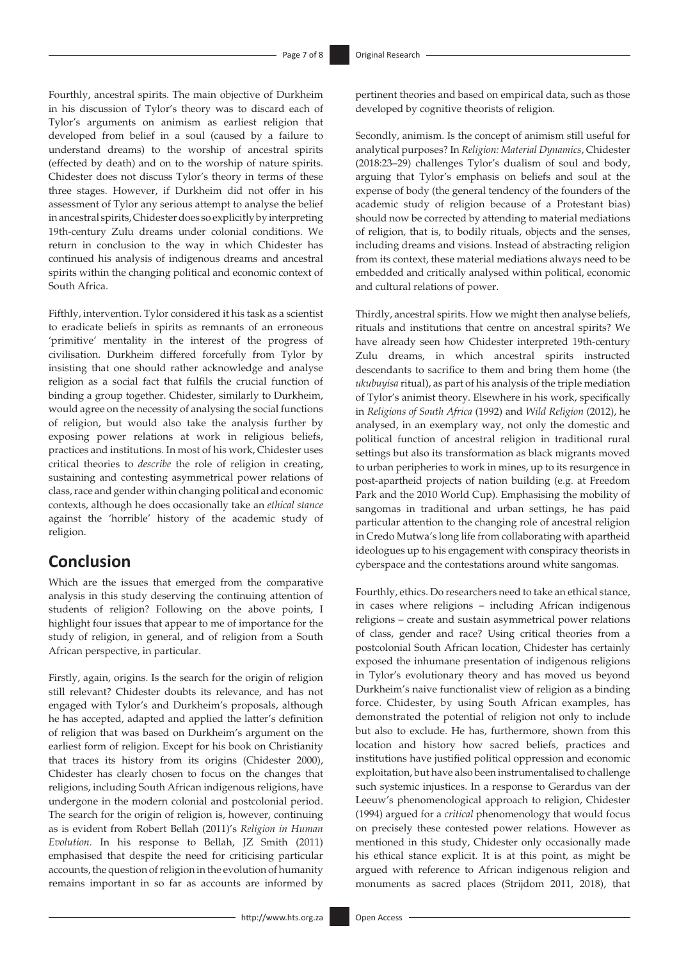Fourthly, ancestral spirits. The main objective of Durkheim in his discussion of Tylor's theory was to discard each of Tylor's arguments on animism as earliest religion that developed from belief in a soul (caused by a failure to understand dreams) to the worship of ancestral spirits (effected by death) and on to the worship of nature spirits. Chidester does not discuss Tylor's theory in terms of these three stages. However, if Durkheim did not offer in his assessment of Tylor any serious attempt to analyse the belief in ancestral spirits, Chidester does so explicitly by interpreting 19th-century Zulu dreams under colonial conditions. We return in conclusion to the way in which Chidester has continued his analysis of indigenous dreams and ancestral spirits within the changing political and economic context of South Africa.

Fifthly, intervention. Tylor considered it his task as a scientist to eradicate beliefs in spirits as remnants of an erroneous 'primitive' mentality in the interest of the progress of civilisation. Durkheim differed forcefully from Tylor by insisting that one should rather acknowledge and analyse religion as a social fact that fulfils the crucial function of binding a group together. Chidester, similarly to Durkheim, would agree on the necessity of analysing the social functions of religion, but would also take the analysis further by exposing power relations at work in religious beliefs, practices and institutions. In most of his work, Chidester uses critical theories to *describe* the role of religion in creating, sustaining and contesting asymmetrical power relations of class, race and gender within changing political and economic contexts, although he does occasionally take an *ethical stance* against the 'horrible' history of the academic study of religion.

## **Conclusion**

Which are the issues that emerged from the comparative analysis in this study deserving the continuing attention of students of religion? Following on the above points, I highlight four issues that appear to me of importance for the study of religion, in general, and of religion from a South African perspective, in particular.

Firstly, again, origins. Is the search for the origin of religion still relevant? Chidester doubts its relevance, and has not engaged with Tylor's and Durkheim's proposals, although he has accepted, adapted and applied the latter's definition of religion that was based on Durkheim's argument on the earliest form of religion. Except for his book on Christianity that traces its history from its origins (Chidester 2000), Chidester has clearly chosen to focus on the changes that religions, including South African indigenous religions, have undergone in the modern colonial and postcolonial period. The search for the origin of religion is, however, continuing as is evident from Robert Bellah (2011)'s *Religion in Human Evolution*. In his response to Bellah, JZ Smith (2011) emphasised that despite the need for criticising particular accounts, the question of religion in the evolution of humanity remains important in so far as accounts are informed by

pertinent theories and based on empirical data, such as those developed by cognitive theorists of religion.

Secondly, animism. Is the concept of animism still useful for analytical purposes? In *Religion: Material Dynamics*, Chidester (2018:23–29) challenges Tylor's dualism of soul and body, arguing that Tylor's emphasis on beliefs and soul at the expense of body (the general tendency of the founders of the academic study of religion because of a Protestant bias) should now be corrected by attending to material mediations of religion, that is, to bodily rituals, objects and the senses, including dreams and visions. Instead of abstracting religion from its context, these material mediations always need to be embedded and critically analysed within political, economic and cultural relations of power.

Thirdly, ancestral spirits. How we might then analyse beliefs, rituals and institutions that centre on ancestral spirits? We have already seen how Chidester interpreted 19th-century Zulu dreams, in which ancestral spirits instructed descendants to sacrifice to them and bring them home (the *ukubuyisa* ritual), as part of his analysis of the triple mediation of Tylor's animist theory. Elsewhere in his work, specifically in *Religions of South Africa* (1992) and *Wild Religion* (2012), he analysed, in an exemplary way, not only the domestic and political function of ancestral religion in traditional rural settings but also its transformation as black migrants moved to urban peripheries to work in mines, up to its resurgence in post-apartheid projects of nation building (e.g. at Freedom Park and the 2010 World Cup). Emphasising the mobility of sangomas in traditional and urban settings, he has paid particular attention to the changing role of ancestral religion in Credo Mutwa's long life from collaborating with apartheid ideologues up to his engagement with conspiracy theorists in cyberspace and the contestations around white sangomas.

Fourthly, ethics. Do researchers need to take an ethical stance, in cases where religions – including African indigenous religions – create and sustain asymmetrical power relations of class, gender and race? Using critical theories from a postcolonial South African location, Chidester has certainly exposed the inhumane presentation of indigenous religions in Tylor's evolutionary theory and has moved us beyond Durkheim's naive functionalist view of religion as a binding force. Chidester, by using South African examples, has demonstrated the potential of religion not only to include but also to exclude. He has, furthermore, shown from this location and history how sacred beliefs, practices and institutions have justified political oppression and economic exploitation, but have also been instrumentalised to challenge such systemic injustices. In a response to Gerardus van der Leeuw's phenomenological approach to religion, Chidester (1994) argued for a *critical* phenomenology that would focus on precisely these contested power relations. However as mentioned in this study, Chidester only occasionally made his ethical stance explicit. It is at this point, as might be argued with reference to African indigenous religion and monuments as sacred places (Strijdom 2011, 2018), that